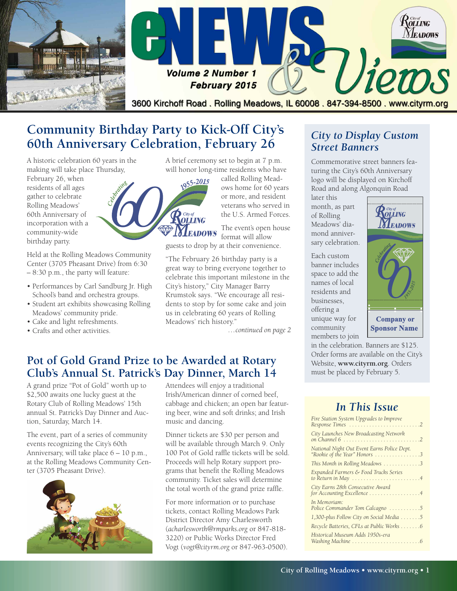

# **Community Birthday Party to Kick-Off City's 60th Anniversary Celebration, February 26**

A historic celebration 60 years in the making will take place Thursday,

February 26, when residents of all ages gather to celebrate Rolling Meadows' 60th Anniversary of incorporation with a community-wide birthday party.

Held at the Rolling Meadows Community Center (3705 Pheasant Drive) from 6:30 – 8:30 p.m., the party will feature:

- Performances by Carl Sandburg Jr. High School's band and orchestra groups.
- Student art exhibits showcasing Rolling Meadows' community pride.
- Cake and light refreshments.
- Crafts and other activities.



Rolling

ows home for 60 years or more, and resident veterans who served in the U.S. Armed Forces.

The event's open house **NEADOWS** format will allow guests to drop by at their convenience.

"The February 26 birthday party is a great way to bring everyone together to celebrate this important milestone in the City's history," City Manager Barry Krumstok says. "We encourage all residents to stop by for some cake and join us in celebrating 60 years of Rolling Meadows' rich history."

*…continued on page 2*

### **Pot of Gold Grand Prize to be Awarded at Rotary Club's Annual St. Patrick's Day Dinner, March 14**

A grand prize "Pot of Gold" worth up to \$2,500 awaits one lucky guest at the Rotary Club of Rolling Meadows' 15th annual St. Patrick's Day Dinner and Auction, Saturday, March 14.

The event, part of a series of community events recognizing the City's 60th Anniversary, will take place 6 – 10 p.m., at the Rolling Meadows Community Center (3705 Pheasant Drive).



Attendees will enjoy a traditional Irish/American dinner of corned beef, cabbage and chicken; an open bar featuring beer, wine and soft drinks; and Irish music and dancing.

Dinner tickets are \$30 per person and will be available through March 9. Only 100 Pot of Gold raffle tickets will be sold. Proceeds will help Rotary support programs that benefit the Rolling Meadows community. Ticket sales will determine the total worth of the grand prize raffle.

For more information or to purchase tickets, contact Rolling Meadows Park District Director Amy Charlesworth (*[acharlesworth@rmparks.org](mailto:acharlesworth@rmparks.org)* or 847-818- 3220) or Public Works Director Fred Vogt (*[vogt@cityrm.org](mailto:vogt@cityrm.org)* or 847-963-0500).

### *City to Display Custom Street Banners*

Commemorative street banners featuring the City's 60th Anniversary logo will be displayed on Kirchoff Road and along Algonquin Road

later this month, as part of Rolling Meadows' diamond anniversary celebration.

Each custom banner includes space to add the names of local residents and businesses, offering a unique way for community members to join



in the celebration. Banners are \$125. Order forms are available on the City's Website, **[www.cityrm.org](http://www.cityrm.org)**. Orders must be placed by February 5.

### *In This Issue*

| Fire Station System Upgrades to Improve                                      |
|------------------------------------------------------------------------------|
| City Launches New Broadcasting Network                                       |
| National Night Out Event Earns Police Dept.<br>"Rookie of the Year" Honors 3 |
| This Month in Rolling Meadows 3                                              |
| Expanded Farmers & Food Trucks Series                                        |
| City Earns 28th Consecutive Award<br>for Accounting Excellence 4             |
| In Memoriam:<br>Police Commander Tom Calcagno 5                              |
| 1,300-plus Follow City on Social Media 5                                     |
| Recycle Batteries, CFLs at Public Works 6                                    |
| Historical Museum Adds 1950s-era                                             |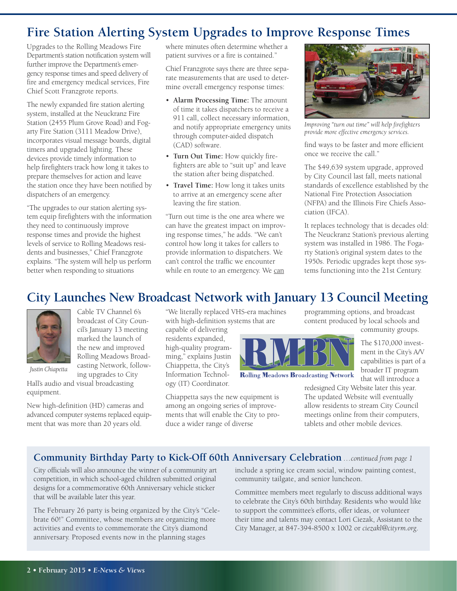# **Fire Station Alerting System Upgrades to Improve Response Times**

Upgrades to the Rolling Meadows Fire Department's station notification system will further improve the Department's emergency response times and speed delivery of fire and emergency medical services, Fire Chief Scott Franzgrote reports.

The newly expanded fire station alerting system, installed at the Neuckranz Fire Station (2455 Plum Grove Road) and Fogarty Fire Station (3111 Meadow Drive), incorporates visual message boards, digital timers and upgraded lighting. These devices provide timely information to help firefighters track how long it takes to prepare themselves for action and leave the station once they have been notified by dispatchers of an emergency.

"The upgrades to our station alerting system equip firefighters with the information they need to continuously improve response times and provide the highest levels of service to Rolling Meadows residents and businesses," Chief Franzgrote explains. "The system will help us perform better when responding to situations

> Cable TV Channel 6's broadcast of City Council's January 13 meeting marked the launch of the new and improved Rolling Meadows Broad

where minutes often determine whether a patient survives or a fire is contained."

Chief Franzgrote says there are three separate measurements that are used to determine overall emergency response times:

- **Alarm Processing Time:** The amount of time it takes dispatchers to receive a 911 call, collect necessary information, and notify appropriate emergency units through computer-aided dispatch (CAD) software.
- **Turn Out Time:** How quickly firefighters are able to "suit up" and leave the station after being dispatched.
- **Travel Time:** How long it takes units to arrive at an emergency scene after leaving the fire station.

"Turn out time is the one area where we can have the greatest impact on improving response times," he adds. "We can't control how long it takes for callers to provide information to dispatchers. We can't control the traffic we encounter while en route to an emergency. We can



*Improving "turn out time" will help firefighters provide more effective emergency services.*

find ways to be faster and more efficient once we receive the call."

The \$49,639 system upgrade, approved by City Council last fall, meets national standards of excellence established by the National Fire Protection Association (NFPA) and the Illinois Fire Chiefs Association (IFCA).

It replaces technology that is decades old: The Neuckranz Station's previous alerting system was installed in 1986. The Fogarty Station's original system dates to the 1950s. Periodic upgrades kept those systems functioning into the 21st Century.

# **City Launches New Broadcast Network with January 13 Council Meeting**



*Justin Chiapetta*

equipment.

casting Network, following upgrades to City Hall's audio and visual broadcasting

New high-definition (HD) cameras and advanced computer systems replaced equipment that was more than 20 years old.

"We literally replaced VHS-era machines with high-definition systems that are

capable of delivering residents expanded, high-quality programming," explains Justin Chiappetta, the City's Information Technology (IT) Coordinator.

Chiappetta says the new equipment is among an ongoing series of improvements that will enable the City to produce a wider range of diverse



**Rolling Meadows Broadcasting Network** 

programming options, and broadcast content produced by local schools and community groups.

> The \$170,000 investment in the City's A/V capabilities is part of a broader IT program that will introduce a

redesigned City Website later this year. The updated Website will eventually allow residents to stream City Council meetings online from their computers, tablets and other mobile devices.

#### **Community Birthday Party to Kick-Off 60th Anniversary Celebration** *…continued from page 1*

City officials will also announce the winner of a community art competition, in which school-aged children submitted original designs for a commemorative 60th Anniversary vehicle sticker that will be available later this year.

The February 26 party is being organized by the City's "Celebrate 60!" Committee, whose members are organizing more activities and events to commemorate the City's diamond anniversary. Proposed events now in the planning stages

include a spring ice cream social, window painting contest, community tailgate, and senior luncheon.

Committee members meet regularly to discuss additional ways to celebrate the City's 60th birthday. Residents who would like to support the committee's efforts, offer ideas, or volunteer their time and talents may contact Lori Ciezak, Assistant to the City Manager, at 847-394-8500 x 1002 or *[ciezakl@cityrm.org](mailto:ciezakl@cityrm.org)*.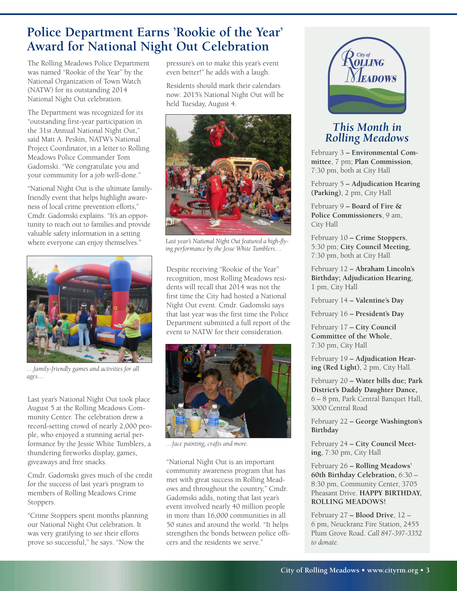# **Police Department Earns 'Rookie of the Year' Award for National Night Out Celebration**

The Rolling Meadows Police Department was named "Rookie of the Year" by the National Organization of Town Watch (NATW) for its outstanding 2014 National Night Out celebration.

The Department was recognized for its "outstanding first-year participation in the 31st Annual National Night Out," said Matt A. Peskin, NATW's National Project Coordinator, in a letter to Rolling Meadows Police Commander Tom Gadomski. "We congratulate you and your community for a job well-done."

"National Night Out is the ultimate familyfriendly event that helps highlight awareness of local crime prevention efforts," Cmdr. Gadomski explains. "It's an opportunity to reach out to families and provide valuable safety information in a setting where everyone can enjoy themselves."



*…family-friendly games and activities for all ages…*

Last year's National Night Out took place August 5 at the Rolling Meadows Community Center. The celebration drew a record-setting crowd of nearly 2,000 people, who enjoyed a stunning aerial performance by the Jessie White Tumblers, a thundering fireworks display, games, giveaways and free snacks.

Cmdr. Gadomski gives much of the credit for the success of last year's program to members of Rolling Meadows Crime Stoppers.

"Crime Stoppers spent months planning our National Night Out celebration. It was very gratifying to see their efforts prove so successful," he says. "Now the

pressure's on to make this year's event even better!" he adds with a laugh.

Residents should mark their calendars now: 2015's National Night Out will be held Tuesday, August 4.



*Last year's National Night Out featured a high-flying performance by the Jesse White Tumblers…*

Despite receiving "Rookie of the Year" recognition, most Rolling Meadows residents will recall that 2014 was not the first time the City had hosted a National Night Out event. Cmdr. Gadomski says that last year was the first time the Police Department submitted a full report of the event to NATW for their consideration.



*…face painting, crafts and more.*

"National Night Out is an important community awareness program that has met with great success in Rolling Meadows and throughout the country," Cmdr. Gadomski adds, noting that last year's event involved nearly 40 million people in more than 16,000 communities in all 50 states and around the world. "It helps strengthen the bonds between police officers and the residents we serve."



#### *This Month in Rolling Meadows*

February 3 **– Environmental Committee**, 7 pm; **Plan Commission**, 7:30 pm, both at City Hall

February 5 **– Adjudication Hearing (Parking)**, 2 pm, City Hall

February 9 **– Board of Fire & Police Commissioners**, 9 am, City Hall

February 10 **– Crime Stoppers**, 5:30 pm; **City Council Meeting**, 7:30 pm, both at City Hall

February 12 **– Abraham Lincoln's Birthday; Adjudication Hearing**, 1 pm, City Hall

February 14 **– Valentine's Day**

February 16 **– President's Day**

February 17 **– City Council Committee of the Whole**, 7:30 pm, City Hall

February 19 **– Adjudication Hearing (Red Light)**, 2 pm, City Hall.

February 20 **– Water bills due; Park District's Daddy Daughter Dance,** 6 – 8 pm, Park Central Banquet Hall, 3000 Central Road

February 22 **– George Washington's Birthday**

February 24 **– City Council Meeting**, 7:30 pm, City Hall

February 26 **– Rolling Meadows' 60th Birthday Celebration,** 6:30 – 8:30 pm, Community Center, 3705 Pheasant Drive. **HAPPY BIRTHDAY, ROLLING MEADOWS!**

February 27 **– Blood Drive**, 12 – 6 pm, Neuckranz Fire Station, 2455 Plum Grove Road. *Call 847-397-3352 to donate.*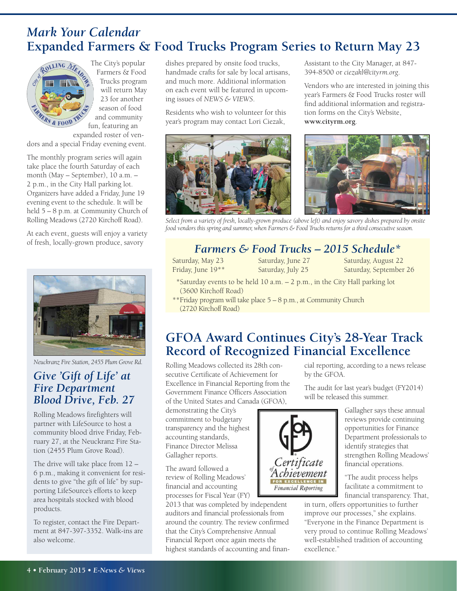## *Mark Your Calendar* **Expanded Farmers & Food Trucks Program Series to Return May 23**



The City's popular Farmers & Food Trucks program will return May 23 for another season of food and community fun, featuring an expanded roster of ven-

dors and a special Friday evening event.

The monthly program series will again take place the fourth Saturday of each month (May – September), 10 a.m. – 2 p.m., in the City Hall parking lot. Organizers have added a Friday, June 19 evening event to the schedule. It will be held 5 – 8 p.m. at Community Church of Rolling Meadows (2720 Kirchoff Road).

At each event, guests will enjoy a variety of fresh, locally-grown produce, savory



*Neuckranz Fire Station, 2455 Plum Grove Rd.*

#### *Give 'Gift of Life' at Fire Department Blood Drive, Feb. 27*

Rolling Meadows firefighters will partner with LifeSource to host a community blood drive Friday, February 27, at the Neuckranz Fire Station (2455 Plum Grove Road).

The drive will take place from 12 – 6 p.m., making it convenient for residents to give "the gift of life" by supporting LifeSource's efforts to keep area hospitals stocked with blood products.

To register, contact the Fire Department at 847-397-3352. Walk-ins are also welcome.

dishes prepared by onsite food trucks, handmade crafts for sale by local artisans, and much more. Additional information on each event will be featured in upcoming issues of *NEWS & VIEWS*.

Residents who wish to volunteer for this year's program may contact Lori Ciezak,



Assistant to the City Manager, at 847- 394-8500 or *ciezakl@cityrm.org*.

Vendors who are interested in joining this year's Farmers & Food Trucks roster will find additional information and registration forms on the City's Website, **[www.cityrm.org](http://www.cityrm.org)**.



Select from a variety of fresh, locally-grown produce (above left) and enjoy savory dishes prepared by onsite *food vendors this spring and summer, when Farmers & Food Trucks returns for a third consecutiveseason.*

### *Farmers & Food Trucks – 2015 Schedule\**

Saturday, May 23 Friday, June 19\*\* Saturday, June 27 Saturday, July 25

Saturday, August 22 Saturday, September 26

- \*Saturday events to be held 10 a.m. 2 p.m., in the City Hall parking lot (3600 Kirchoff Road)
- \*\*Friday program will take place 5 8 p.m., at Community Church (2720 Kirchoff Road)

## **GFOA Award Continues City's 28-Year Track Record of Recognized Financial Excellence**

**Financial Reporting** 

Rolling Meadows collected its 28th consecutive Certificate of Achievement for Excellence in Financial Reporting from the Government Finance Officers Association of the United States and Canada (GFOA),

demonstrating the City's commitment to budgetary transparency and the highest accounting standards, Finance Director Melissa Gallagher reports.

The award followed a review of Rolling Meadows' financial and accounting processes for Fiscal Year (FY)

2013 that was completed by independent auditors and financial professionals from around the country. The review confirmed that the City's Comprehensive Annual Financial Report once again meets the highest standards of accounting and financial reporting, according to a news release by the GFOA.

The audit for last year's budget (FY2014) will be released this summer.

> Gallagher says these annual reviews provide continuing opportunities for Finance Department professionals to identify strategies that strengthen Rolling Meadows' financial operations.

> "The audit process helps facilitate a commitment to financial transparency. That,

in turn, offers opportunities to further improve our processes," she explains. "Everyone in the Finance Department is very proud to continue Rolling Meadows' well-established tradition of accounting excellence."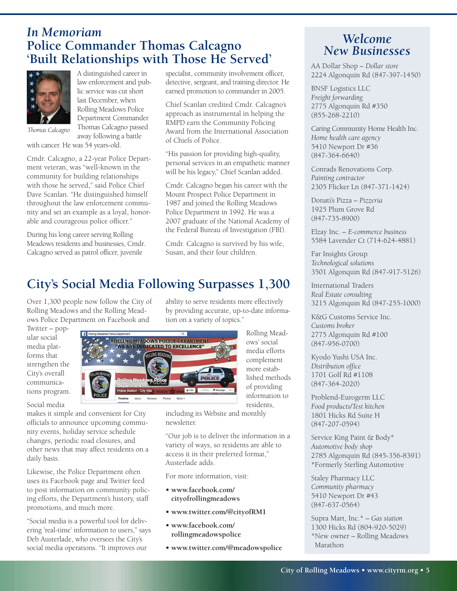### *In Memoriam* **Police Commander Thomas Calcagno 'Built Relationships with Those He Served'**



A distinguished career in law enforcement and public service was cut short last December, when Rolling Meadows Police Department Commander Thomas Calcagno passed away following a battle

*Thomas Calcagno*

with cancer. He was 54 years-old.

Cmdr. Calcagno, a 22-year Police Department veteran, was "well-known in the community for building relationships with those he served," said Police Chief Dave Scanlan. "He distinguished himself throughout the law enforcement community and set an example as a loyal, honorable and courageous police officer."

During his long career serving Rolling Meadows residents and businesses, Cmdr. Calcagno served as patrol officer, juvenile

specialist, community involvement officer, detective, sergeant, and training director. He earned promotion to commander in 2005.

Chief Scanlan credited Cmdr. Calcagno's approach as instrumental in helping the RMPD earn the Community Policing Award from the International Association of Chiefs of Police.

"His passion for providing high-quality, personal services in an empathetic manner will be his legacy," Chief Scanlan added.

Cmdr. Calcagno began his career with the Mount Prospect Police Department in 1987 and joined the Rolling Meadows Police Department in 1992. He was a 2007 graduate of the National Academy of the Federal Bureau of Investigation (FBI).

Cmdr. Calcagno is survived by his wife, Susan, and their four children.

# **City's Social Media Following Surpasses 1,300**

Over 1,300 people now follow the City of Rolling Meadows and the Rolling Meadows Police Department on Facebook and

Twitter – popular social media platforms that strengthen the City's overall communications program.



makes it simple and convenient for City officials to announce upcoming community events, holiday service schedule changes, periodic road closures, and other news that may affect residents on a daily basis.

Likewise, the Police Department often uses its Facebook page and Twitter feed to post information on community policing efforts, the Department's history, staff promotions, and much more.

"Social media is a powerful tool for delivering 'real-time' information to users," says Deb Austerlade, who oversees the City's social media operations. "It improves our

ability to serve residents more effectively by providing accurate, up-to-date information on a variety of topics."



Rolling Meadows' social media efforts complement more established methods of providing information to residents,

including its Website and monthly newsletter.

"Our job is to deliver the information in a variety of ways, so residents are able to access it in their preferred format," Austerlade adds.

For more information, visit:

- **• [www.facebook.com/](www.facebook.com/rollingmeadowspolice) [cityofrollingmeadows](www.facebook.com/rollingmeadowspolice)**
- **• [www.twitter.com/@cityofRM1](www.twitter.com/@cityofrm1)**
- **• [www.facebook.com/](www.cityrm.org/rmpd) [rollingmeadowspolice](www.cityrm.org/rmpd)**
- **• [www.twitter.com/@meadowspolice](http://www.twitter.com/@meadowspolice)**

### *Welcome New Businesses*

AA Dollar Shop – *Dollar store* 2224 Algonquin Rd (847-397-1450)

BNSF Logistics LLC *Freight forwarding* 2775 Algonquin Rd #350 (855-268-2210)

Caring Community Home Health Inc. *Home health care agency* 5410 Newport Dr #36 (847-364-6640)

Conrads Renovations Corp. *Painting contractor* 2305 Flicker Ln (847-371-1424)

Donati's Pizza – *Pizzeria* 1925 Plum Grove Rd (847-735-8900)

Elzay Inc. – *E-commerce business* 5584 Lavender Ct (714-624-4881)

Far Insights Group *Technological solutions* 3501 Algonquin Rd (847-917-5126)

International Traders *Real Estate consulting* 3215 Algonquin Rd (847-255-1000)

K&G Customs Service Inc. *Customs broker* 2775 Algonquin Rd #100 (847-956-0700)

Kyodo Yushi USA Inc. *Distribution office* 1701 Golf Rd #1108 (847-364-2020)

Problend-Eurogerm LLC *Food products/Test kitchen* 1801 Hicks Rd Suite H (847-207-0594)

Service King Paint & Body\* *Automotive body shop* 2785 Algonquin Rd (845-356-8391) \*Formerly Sterling Automotive

Staley Pharmacy LLC *Community pharmacy* 5410 Newport Dr #43 (847-637-0564)

Supra Mart, Inc.\* – *Gas station* 1300 Hicks Rd (804-920-5029) \*New owner – Rolling Meadows Marathon